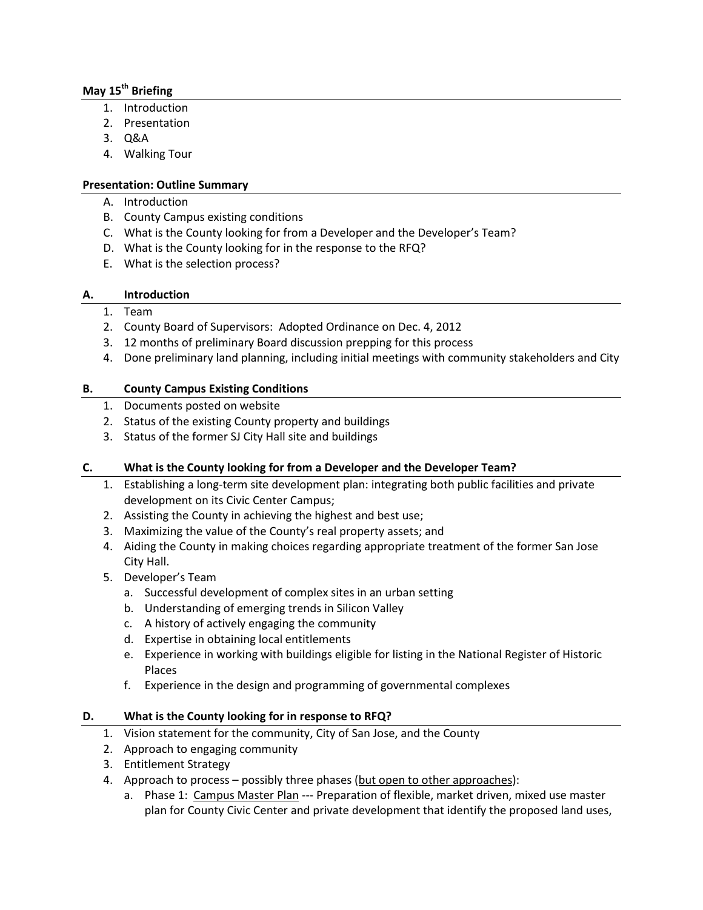# **May 15th Briefing**

- 1. Introduction
- 2. Presentation
- 3. Q&A
- 4. Walking Tour

## **Presentation: Outline Summary**

- A. Introduction
- B. County Campus existing conditions
- C. What is the County looking for from a Developer and the Developer's Team?
- D. What is the County looking for in the response to the RFQ?
- E. What is the selection process?

### **A. Introduction**

### 1. Team

- 2. County Board of Supervisors: Adopted Ordinance on Dec. 4, 2012
- 3. 12 months of preliminary Board discussion prepping for this process
- 4. Done preliminary land planning, including initial meetings with community stakeholders and City

## **B. County Campus Existing Conditions**

- 1. Documents posted on website
- 2. Status of the existing County property and buildings
- 3. Status of the former SJ City Hall site and buildings

# **C. What is the County looking for from a Developer and the Developer Team?**

- 1. Establishing a long-term site development plan: integrating both public facilities and private development on its Civic Center Campus;
- 2. Assisting the County in achieving the highest and best use;
- 3. Maximizing the value of the County's real property assets; and
- 4. Aiding the County in making choices regarding appropriate treatment of the former San Jose City Hall.
- 5. Developer's Team
	- a. Successful development of complex sites in an urban setting
	- b. Understanding of emerging trends in Silicon Valley
	- c. A history of actively engaging the community
	- d. Expertise in obtaining local entitlements
	- e. Experience in working with buildings eligible for listing in the National Register of Historic Places
	- f. Experience in the design and programming of governmental complexes

### **D. What is the County looking for in response to RFQ?**

- 1. Vision statement for the community, City of San Jose, and the County
- 2. Approach to engaging community
- 3. Entitlement Strategy
- 4. Approach to process possibly three phases (but open to other approaches):
	- a. Phase 1: Campus Master Plan --- Preparation of flexible, market driven, mixed use master plan for County Civic Center and private development that identify the proposed land uses,